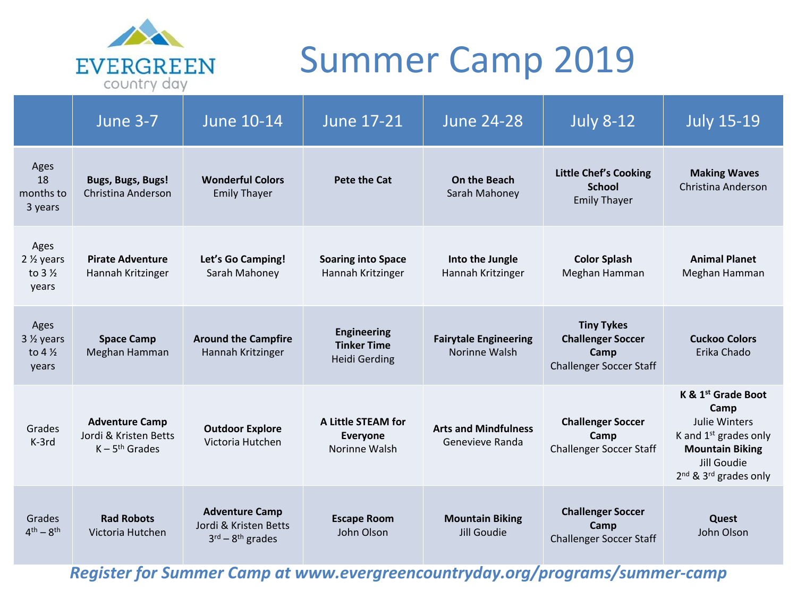

# Summer Camp 2019

|                                                             | <b>June 3-7</b>                                                    | <b>June 10-14</b>                                                          | <b>June 17-21</b>                                                | <b>June 24-28</b>                              | <b>July 8-12</b>                                                                        | <b>July 15-19</b>                                                                                                                                                         |
|-------------------------------------------------------------|--------------------------------------------------------------------|----------------------------------------------------------------------------|------------------------------------------------------------------|------------------------------------------------|-----------------------------------------------------------------------------------------|---------------------------------------------------------------------------------------------------------------------------------------------------------------------------|
| Ages<br>18<br>months to<br>3 years                          | <b>Bugs, Bugs, Bugs!</b><br><b>Christina Anderson</b>              | <b>Wonderful Colors</b><br><b>Emily Thayer</b>                             | <b>Pete the Cat</b>                                              | On the Beach<br>Sarah Mahoney                  | <b>Little Chef's Cooking</b><br><b>School</b><br><b>Emily Thayer</b>                    | <b>Making Waves</b><br>Christina Anderson                                                                                                                                 |
| Ages<br>$2 \frac{1}{2}$ years<br>to $3\frac{1}{2}$<br>years | <b>Pirate Adventure</b><br>Hannah Kritzinger                       | Let's Go Camping!<br>Sarah Mahoney                                         | <b>Soaring into Space</b><br>Hannah Kritzinger                   | Into the Jungle<br>Hannah Kritzinger           | <b>Color Splash</b><br>Meghan Hamman                                                    | <b>Animal Planet</b><br>Meghan Hamman                                                                                                                                     |
| Ages<br>$3\frac{1}{2}$ years<br>to $4\frac{1}{2}$<br>years  | <b>Space Camp</b><br>Meghan Hamman                                 | <b>Around the Campfire</b><br>Hannah Kritzinger                            | <b>Engineering</b><br><b>Tinker Time</b><br><b>Heidi Gerding</b> | <b>Fairytale Engineering</b><br>Norinne Walsh  | <b>Tiny Tykes</b><br><b>Challenger Soccer</b><br>Camp<br><b>Challenger Soccer Staff</b> | <b>Cuckoo Colors</b><br>Erika Chado                                                                                                                                       |
| Grades<br>K-3rd                                             | <b>Adventure Camp</b><br>Jordi & Kristen Betts<br>$K - 5th$ Grades | <b>Outdoor Explore</b><br>Victoria Hutchen                                 | <b>A Little STEAM for</b><br><b>Everyone</b><br>Norinne Walsh    | <b>Arts and Mindfulness</b><br>Genevieve Randa | <b>Challenger Soccer</b><br>Camp<br><b>Challenger Soccer Staff</b>                      | K & 1 <sup>st</sup> Grade Boot<br>Camp<br><b>Julie Winters</b><br>K and $1st$ grades only<br><b>Mountain Biking</b><br>Jill Goudie<br>$2nd$ & 3 <sup>rd</sup> grades only |
| Grades<br>$4^{\text{th}} - 8^{\text{th}}$                   | <b>Rad Robots</b><br>Victoria Hutchen                              | <b>Adventure Camp</b><br>Jordi & Kristen Betts<br>$3^{rd} - 8^{th}$ grades | <b>Escape Room</b><br>John Olson                                 | <b>Mountain Biking</b><br>Jill Goudie          | <b>Challenger Soccer</b><br>Camp<br><b>Challenger Soccer Staff</b>                      | Quest<br>John Olson                                                                                                                                                       |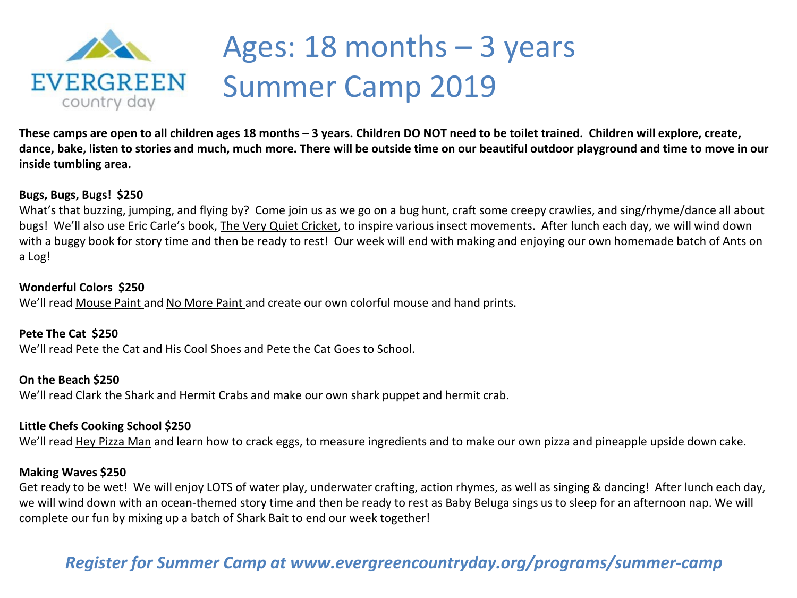

# Ages: 18 months – 3 years Summer Camp 2019

**These camps are open to all children ages 18 months – 3 years. Children DO NOT need to be toilet trained. Children will explore, create, dance, bake, listen to stories and much, much more. There will be outside time on our beautiful outdoor playground and time to move in our inside tumbling area.** 

### **Bugs, Bugs, Bugs! \$250**

What's that buzzing, jumping, and flying by? Come join us as we go on a bug hunt, craft some creepy crawlies, and sing/rhyme/dance all about bugs! We'll also use Eric Carle's book, The Very Quiet Cricket, to inspire various insect movements. After lunch each day, we will wind down with a buggy book for story time and then be ready to rest! Our week will end with making and enjoying our own homemade batch of Ants on a Log!

### **Wonderful Colors \$250**

We'll read Mouse Paint and No More Paint and create our own colorful mouse and hand prints.

**Pete The Cat \$250**  We'll read Pete the Cat and His Cool Shoes and Pete the Cat Goes to School.

## **On the Beach \$250**

We'll read Clark the Shark and Hermit Crabs and make our own shark puppet and hermit crab.

## **Little Chefs Cooking School \$250**

We'll read Hey Pizza Man and learn how to crack eggs, to measure ingredients and to make our own pizza and pineapple upside down cake.

### **Making Waves \$250**

Get ready to be wet! We will enjoy LOTS of water play, underwater crafting, action rhymes, as well as singing & dancing! After lunch each day, we will wind down with an ocean-themed story time and then be ready to rest as Baby Beluga sings us to sleep for an afternoon nap. We will complete our fun by mixing up a batch of Shark Bait to end our week together!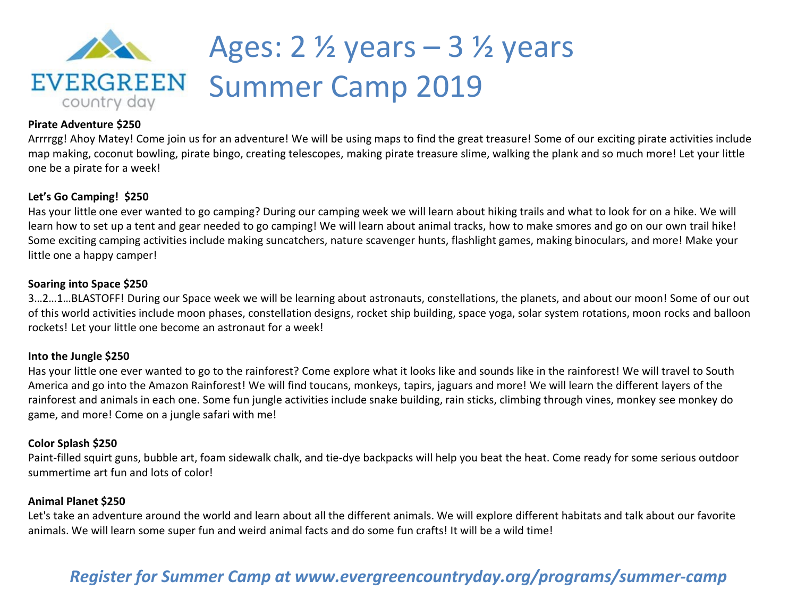

# Ages: 2 ½ years – 3 ½ years Summer Camp 2019

#### **Pirate Adventure \$250**

Arrrrgg! Ahoy Matey! Come join us for an adventure! We will be using maps to find the great treasure! Some of our exciting pirate activities include map making, coconut bowling, pirate bingo, creating telescopes, making pirate treasure slime, walking the plank and so much more! Let your little one be a pirate for a week!

#### **Let's Go Camping! \$250**

Has your little one ever wanted to go camping? During our camping week we will learn about hiking trails and what to look for on a hike. We will learn how to set up a tent and gear needed to go camping! We will learn about animal tracks, how to make smores and go on our own trail hike! Some exciting camping activities include making suncatchers, nature scavenger hunts, flashlight games, making binoculars, and more! Make your little one a happy camper!

#### **Soaring into Space \$250**

3…2…1…BLASTOFF! During our Space week we will be learning about astronauts, constellations, the planets, and about our moon! Some of our out of this world activities include moon phases, constellation designs, rocket ship building, space yoga, solar system rotations, moon rocks and balloon rockets! Let your little one become an astronaut for a week!

#### **Into the Jungle \$250**

Has your little one ever wanted to go to the rainforest? Come explore what it looks like and sounds like in the rainforest! We will travel to South America and go into the Amazon Rainforest! We will find toucans, monkeys, tapirs, jaguars and more! We will learn the different layers of the rainforest and animals in each one. Some fun jungle activities include snake building, rain sticks, climbing through vines, monkey see monkey do game, and more! Come on a jungle safari with me!

#### **Color Splash \$250**

Paint-filled squirt guns, bubble art, foam sidewalk chalk, and tie-dye backpacks will help you beat the heat. Come ready for some serious outdoor summertime art fun and lots of color!

#### **Animal Planet \$250**

Let's take an adventure around the world and learn about all the different animals. We will explore different habitats and talk about our favorite animals. We will learn some super fun and weird animal facts and do some fun crafts! It will be a wild time!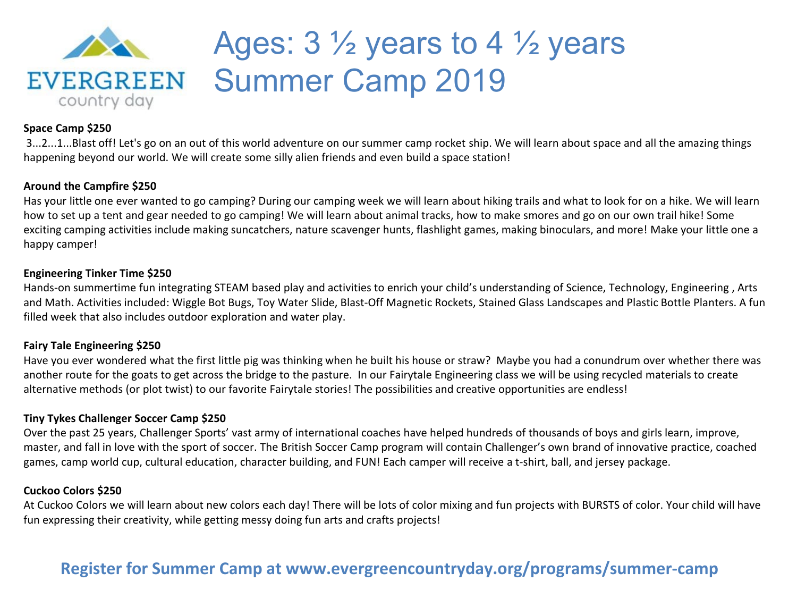

# Ages: 3 ½ years to 4 ½ years Summer Camp 2019

#### **Space Camp \$250**

3...2...1...Blast off! Let's go on an out of this world adventure on our summer camp rocket ship. We will learn about space and all the amazing things happening beyond our world. We will create some silly alien friends and even build a space station!

### **Around the Campfire \$250**

Has your little one ever wanted to go camping? During our camping week we will learn about hiking trails and what to look for on a hike. We will learn how to set up a tent and gear needed to go camping! We will learn about animal tracks, how to make smores and go on our own trail hike! Some exciting camping activities include making suncatchers, nature scavenger hunts, flashlight games, making binoculars, and more! Make your little one a happy camper!

### **Engineering Tinker Time \$250**

Hands-on summertime fun integrating STEAM based play and activities to enrich your child's understanding of Science, Technology, Engineering , Arts and Math. Activities included: Wiggle Bot Bugs, Toy Water Slide, Blast-Off Magnetic Rockets, Stained Glass Landscapes and Plastic Bottle Planters. A fun filled week that also includes outdoor exploration and water play.

### **Fairy Tale Engineering \$250**

Have you ever wondered what the first little pig was thinking when he built his house or straw? Maybe you had a conundrum over whether there was another route for the goats to get across the bridge to the pasture. In our Fairytale Engineering class we will be using recycled materials to create alternative methods (or plot twist) to our favorite Fairytale stories! The possibilities and creative opportunities are endless!

### **Tiny Tykes Challenger Soccer Camp \$250**

Over the past 25 years, Challenger Sports' vast army of international coaches have helped hundreds of thousands of boys and girls learn, improve, master, and fall in love with the sport of soccer. The British Soccer Camp program will contain Challenger's own brand of innovative practice, coached games, camp world cup, cultural education, character building, and FUN! Each camper will receive a t-shirt, ball, and jersey package.

### **Cuckoo Colors \$250**

At Cuckoo Colors we will learn about new colors each day! There will be lots of color mixing and fun projects with BURSTS of color. Your child will have fun expressing their creativity, while getting messy doing fun arts and crafts projects!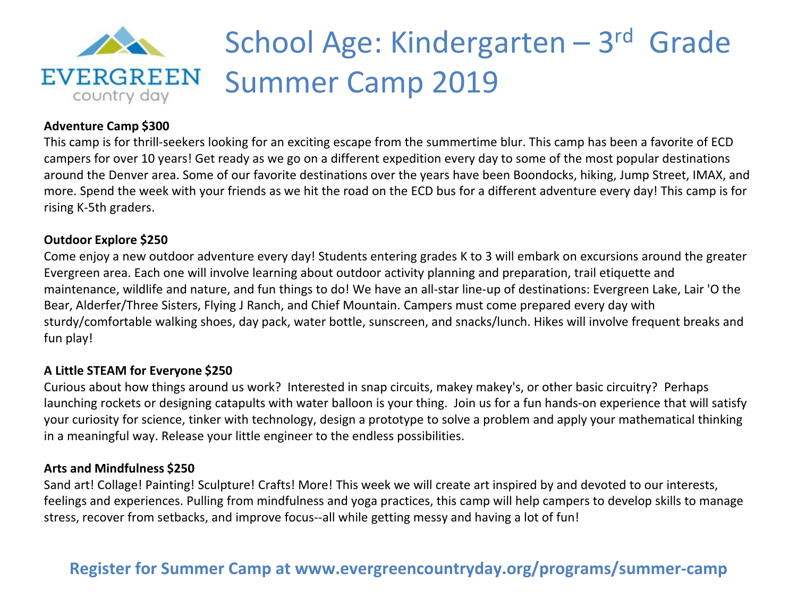

# School Age: Kindergarten – 3rd Grade Summer Camp 2019

## **Adventure Camp \$300**

This camp is for thrill-seekers looking for an exciting escape from the summertime blur. This camp has been a favorite of ECD campers for over 10 years! Get ready as we go on a different expedition every day to some of the most popular destinations around the Denver area. Some of our favorite destinations over the years have been Boondocks, hiking, Jump Street, IMAX, and more. Spend the week with your friends as we hit the road on the ECD bus for a different adventure every day! This camp is for rising K-5th graders.

### **Outdoor Explore \$250**

Come enjoy a new outdoor adventure every day! Students entering grades K to 3 will embark on excursions around the greater Evergreen area. Each one will involve learning about outdoor activity planning and preparation, trail etiquette and maintenance, wildlife and nature, and fun things to do! We have an all-star line-up of destinations: Evergreen Lake, Lair 'O the Bear, Alderfer/Three Sisters, Flying J Ranch, and Chief Mountain. Campers must come prepared every day with sturdy/comfortable walking shoes, day pack, water bottle, sunscreen, and snacks/lunch. Hikes will involve frequent breaks and fun play!

## **A Little STEAM for Everyone \$250**

Curious about how things around us work? Interested in snap circuits, makey makey's, or other basic circuitry? Perhaps launching rockets or designing catapults with water balloon is your thing. Join us for a fun hands-on experience that will satisfy your curiosity for science, tinker with technology, design a prototype to solve a problem and apply your mathematical thinking in a meaningful way. Release your little engineer to the endless possibilities.

### **Arts and Mindfulness \$250**

Sand art! Collage! Painting! Sculpture! Crafts! More! This week we will create art inspired by and devoted to our interests, feelings and experiences. Pulling from mindfulness and yoga practices, this camp will help campers to develop skills to manage stress, recover from setbacks, and improve focus--all while getting messy and having a lot of fun!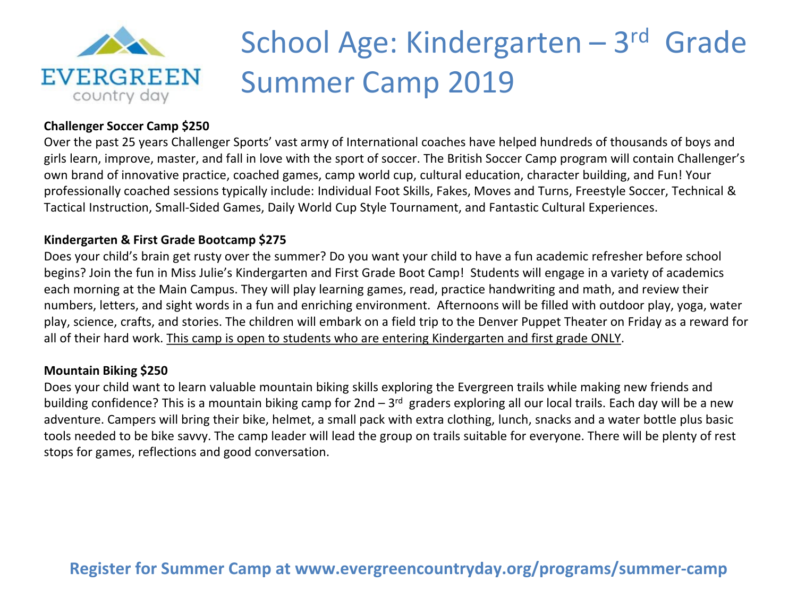

# School Age: Kindergarten – 3rd Grade Summer Camp 2019

## **Challenger Soccer Camp \$250**

Over the past 25 years Challenger Sports' vast army of International coaches have helped hundreds of thousands of boys and girls learn, improve, master, and fall in love with the sport of soccer. The British Soccer Camp program will contain Challenger's own brand of innovative practice, coached games, camp world cup, cultural education, character building, and Fun! Your professionally coached sessions typically include: Individual Foot Skills, Fakes, Moves and Turns, Freestyle Soccer, Technical & Tactical Instruction, Small-Sided Games, Daily World Cup Style Tournament, and Fantastic Cultural Experiences.

## **Kindergarten & First Grade Bootcamp \$275**

Does your child's brain get rusty over the summer? Do you want your child to have a fun academic refresher before school begins? Join the fun in Miss Julie's Kindergarten and First Grade Boot Camp! Students will engage in a variety of academics each morning at the Main Campus. They will play learning games, read, practice handwriting and math, and review their numbers, letters, and sight words in a fun and enriching environment. Afternoons will be filled with outdoor play, yoga, water play, science, crafts, and stories. The children will embark on a field trip to the Denver Puppet Theater on Friday as a reward for all of their hard work. This camp is open to students who are entering Kindergarten and first grade ONLY.

## **Mountain Biking \$250**

Does your child want to learn valuable mountain biking skills exploring the Evergreen trails while making new friends and building confidence? This is a mountain biking camp for  $2nd - 3<sup>rd</sup>$  graders exploring all our local trails. Each day will be a new adventure. Campers will bring their bike, helmet, a small pack with extra clothing, lunch, snacks and a water bottle plus basic tools needed to be bike savvy. The camp leader will lead the group on trails suitable for everyone. There will be plenty of rest stops for games, reflections and good conversation.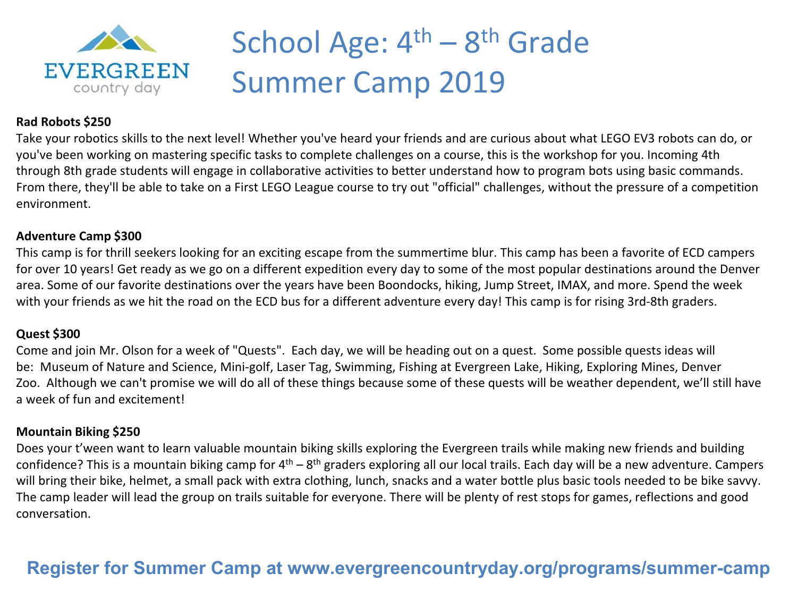

# School Age:  $4<sup>th</sup> - 8<sup>th</sup>$  Grade Summer Camp 2019

### **Rad Robots \$250**

Take your robotics skills to the next level! Whether you've heard your friends and are curious about what LEGO EV3 robots can do, or you've been working on mastering specific tasks to complete challenges on a course, this is the workshop for you. Incoming 4th through 8th grade students will engage in collaborative activities to better understand how to program bots using basic commands. From there, they'll be able to take on a First LEGO League course to try out "official" challenges, without the pressure of a competition environment.

### **Adventure Camp \$300**

This camp is for thrill seekers looking for an exciting escape from the summertime blur. This camp has been a favorite of ECD campers for over 10 years! Get ready as we go on a different expedition every day to some of the most popular destinations around the Denver area. Some of our favorite destinations over the years have been Boondocks, hiking, Jump Street, IMAX, and more. Spend the week with your friends as we hit the road on the ECD bus for a different adventure every day! This camp is for rising 3rd-8th graders.

### **Quest \$300**

Come and join Mr. Olson for a week of "Quests". Each day, we will be heading out on a quest. Some possible quests ideas will be: Museum of Nature and Science, Mini-golf, Laser Tag, Swimming, Fishing at Evergreen Lake, Hiking, Exploring Mines, Denver Zoo. Although we can't promise we will do all of these things because some of these quests will be weather dependent, we'll still have a week of fun and excitement!

## **Mountain Biking \$250**

Does your t'ween want to learn valuable mountain biking skills exploring the Evergreen trails while making new friends and building confidence? This is a mountain biking camp for  $4<sup>th</sup> - 8<sup>th</sup>$  graders exploring all our local trails. Each day will be a new adventure. Campers will bring their bike, helmet, a small pack with extra clothing, lunch, snacks and a water bottle plus basic tools needed to be bike savvy. The camp leader will lead the group on trails suitable for everyone. There will be plenty of rest stops for games, reflections and good conversation.